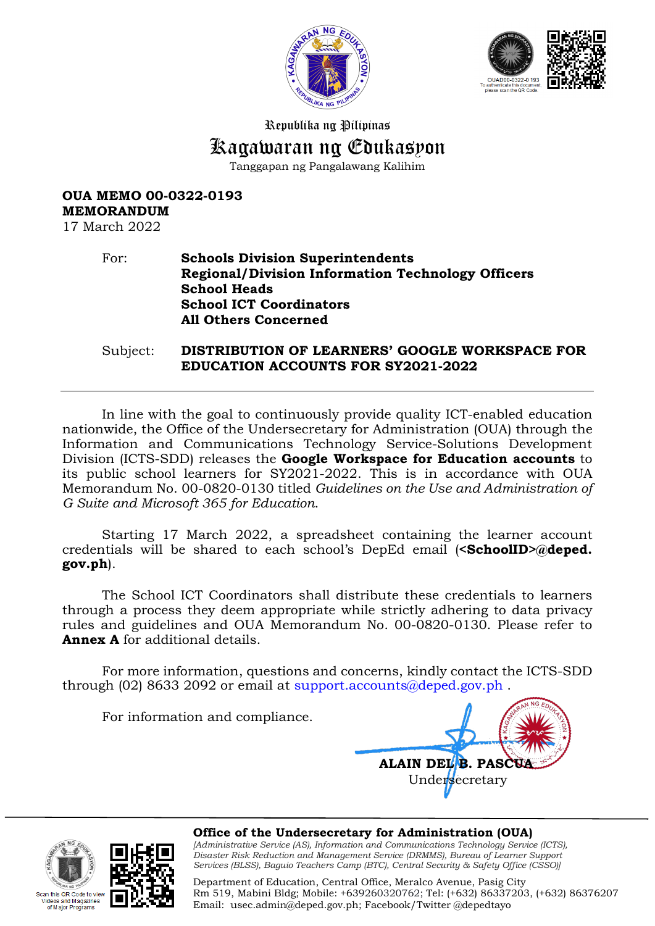



Republika ng Pilipinas

# Kagawaran ng Edukasyon

Tanggapan ng Pangalawang Kalihim

## **OUA MEMO 00-0322-0193 MEMORANDUM**

17 March 2022

#### For: **Schools Division Superintendents Regional/Division Information Technology Officers School Heads School ICT Coordinators All Others Concerned**

Subject: **DISTRIBUTION OF LEARNERS' GOOGLE WORKSPACE FOR EDUCATION ACCOUNTS FOR SY2021-2022**

In line with the goal to continuously provide quality ICT-enabled education nationwide, the Office of the Undersecretary for Administration (OUA) through the Information and Communications Technology Service-Solutions Development Division (ICTS-SDD) releases the **Google Workspace for Education accounts** to its public school learners for SY2021-2022. This is in accordance with OUA Memorandum No. 00-0820-0130 titled *Guidelines on the Use and Administration of G Suite and Microsoft 365 for Education*.

Starting 17 March 2022, a spreadsheet containing the learner account credentials will be shared to each school's DepEd email (**<SchoolID>@deped. gov.ph**).

The School ICT Coordinators shall distribute these credentials to learners through a process they deem appropriate while strictly adhering to data privacy rules and guidelines and OUA Memorandum No. 00-0820-0130. Please refer to **Annex A** for additional details.

For more information, questions and concerns, kindly contact the ICTS-SDD through (02) 8633 2092 or email at [support.accounts@deped.gov.ph](mailto:support.accounts@deped.gov.ph).

For information and compliance.







**Office of the Undersecretary for Administration (OUA)** *[Administrative Service (AS), Information and Communications Technology Service (ICTS), Disaster Risk Reduction and Management Service (DRMMS), Bureau of Learner Support Services (BLSS), Baguio Teachers Camp (BTC), Central Security & Safety Office (CSSO)]*

Department of Education, Central Office, Meralco Avenue, Pasig City Rm 519, Mabini Bldg; Mobile: +639260320762; Tel: (+632) 86337203, (+632) 86376207 Email: [usec.admin@deped.gov.ph;](mailto:usec.admin@deped.gov.ph) Facebook/Twitter @depedtayo